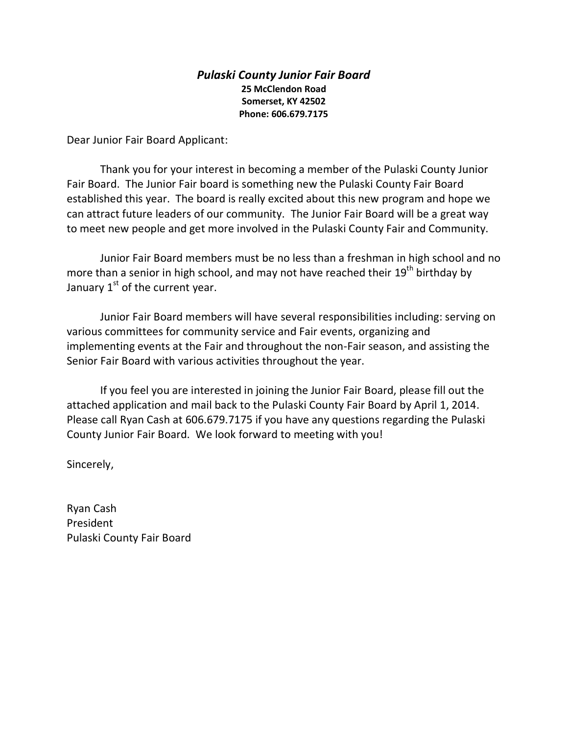## *Pulaski County Junior Fair Board*  **25 McClendon Road Somerset, KY 42502 Phone: 606.679.7175**

Dear Junior Fair Board Applicant:

Thank you for your interest in becoming a member of the Pulaski County Junior Fair Board. The Junior Fair board is something new the Pulaski County Fair Board established this year. The board is really excited about this new program and hope we can attract future leaders of our community. The Junior Fair Board will be a great way to meet new people and get more involved in the Pulaski County Fair and Community.

Junior Fair Board members must be no less than a freshman in high school and no more than a senior in high school, and may not have reached their 19<sup>th</sup> birthday by January  $1<sup>st</sup>$  of the current year.

Junior Fair Board members will have several responsibilities including: serving on various committees for community service and Fair events, organizing and implementing events at the Fair and throughout the non-Fair season, and assisting the Senior Fair Board with various activities throughout the year.

If you feel you are interested in joining the Junior Fair Board, please fill out the attached application and mail back to the Pulaski County Fair Board by April 1, 2014. Please call Ryan Cash at 606.679.7175 if you have any questions regarding the Pulaski County Junior Fair Board. We look forward to meeting with you!

Sincerely,

Ryan Cash President Pulaski County Fair Board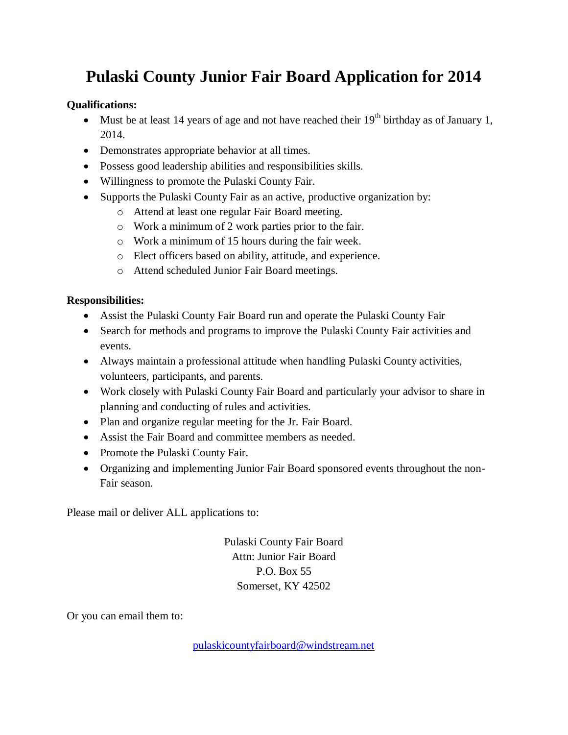## **Pulaski County Junior Fair Board Application for 2014**

## **Qualifications:**

- Must be at least 14 years of age and not have reached their  $19<sup>th</sup>$  birthday as of January 1, 2014.
- Demonstrates appropriate behavior at all times.
- Possess good leadership abilities and responsibilities skills.
- Willingness to promote the Pulaski County Fair.
- Supports the Pulaski County Fair as an active, productive organization by:
	- o Attend at least one regular Fair Board meeting.
	- o Work a minimum of 2 work parties prior to the fair.
	- o Work a minimum of 15 hours during the fair week.
	- o Elect officers based on ability, attitude, and experience.
	- o Attend scheduled Junior Fair Board meetings.

## **Responsibilities:**

- Assist the Pulaski County Fair Board run and operate the Pulaski County Fair
- Search for methods and programs to improve the Pulaski County Fair activities and events.
- Always maintain a professional attitude when handling Pulaski County activities, volunteers, participants, and parents.
- Work closely with Pulaski County Fair Board and particularly your advisor to share in planning and conducting of rules and activities.
- Plan and organize regular meeting for the Jr. Fair Board.
- Assist the Fair Board and committee members as needed.
- Promote the Pulaski County Fair.
- Organizing and implementing Junior Fair Board sponsored events throughout the non-Fair season.

Please mail or deliver ALL applications to:

Pulaski County Fair Board Attn: Junior Fair Board P.O. Box 55 Somerset, KY 42502

Or you can email them to:

[pulaskicountyfairboard@windstream.net](mailto:pulaskicountyfairboard@windstream.net)